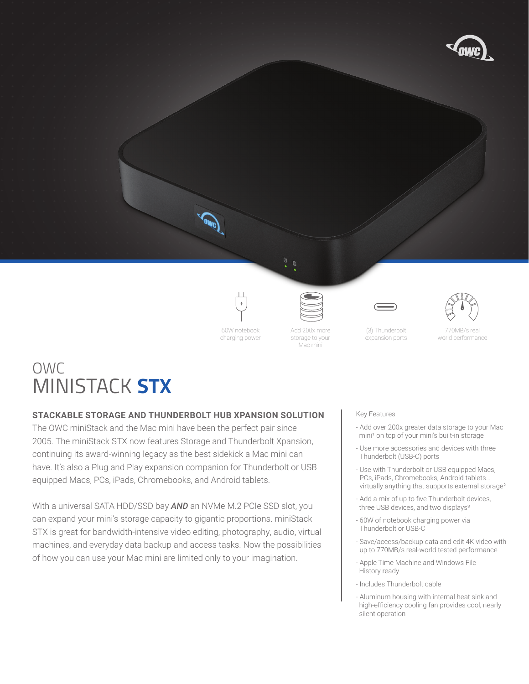



60W notebook charging power



storage to your Mac mini



(3) Thunderbolt expansion ports



770MB/s real world performance

# OWC MINISTACK **STX**

## **STACKABLE STORAGE AND THUNDERBOLT HUB XPANSION SOLUTION**

The OWC miniStack and the Mac mini have been the perfect pair since 2005. The miniStack STX now features Storage and Thunderbolt Xpansion, continuing its award-winning legacy as the best sidekick a Mac mini can have. It's also a Plug and Play expansion companion for Thunderbolt or USB equipped Macs, PCs, iPads, Chromebooks, and Android tablets. 

With a universal SATA HDD/SSD bay *AND* an NVMe M.2 PCIe SSD slot, you can expand your mini's storage capacity to gigantic proportions. miniStack STX is great for bandwidth-intensive video editing, photography, audio, virtual machines, and everyday data backup and access tasks. Now the possibilities of how you can use your Mac mini are limited only to your imagination. 

### Key Features

- Add over 200x greater data storage to your Mac mini<sup>1</sup> on top of your mini's built-in storage
- Use more accessories and devices with three Thunderbolt (USB-C) ports
- Use with Thunderbolt or USB equipped Macs, PCs, iPads, Chromebooks, Android tablets… virtually anything that supports external storage²
- Add a mix of up to five Thunderbolt devices, three USB devices, and two displays<sup>3</sup>
- 60W of notebook charging power via Thunderbolt or USB-C
- Save/access/backup data and edit 4K video with up to 770MB/s real-world tested performance
- Apple Time Machine and Windows File History ready
- Includes Thunderbolt cable
- Aluminum housing with internal heat sink and high-efficiency cooling fan provides cool, nearly silent operation